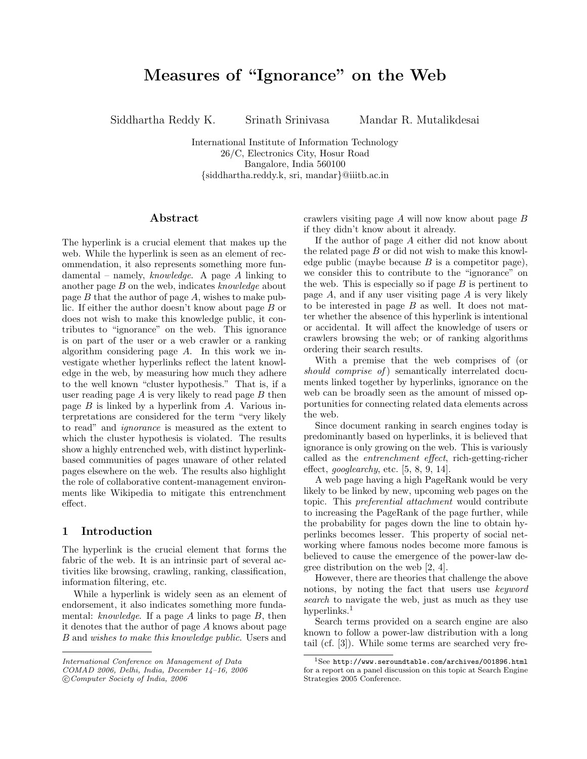# Measures of "Ignorance" on the Web

Siddhartha Reddy K. Srinath Srinivasa Mandar R. Mutalikdesai

International Institute of Information Technology 26/C, Electronics City, Hosur Road Bangalore, India 560100 {siddhartha.reddy.k, sri, mandar}@iiitb.ac.in

### Abstract

The hyperlink is a crucial element that makes up the web. While the hyperlink is seen as an element of recommendation, it also represents something more fundamental – namely, knowledge. A page A linking to another page  $B$  on the web, indicates knowledge about page  $B$  that the author of page  $A$ , wishes to make public. If either the author doesn't know about page B or does not wish to make this knowledge public, it contributes to "ignorance" on the web. This ignorance is on part of the user or a web crawler or a ranking algorithm considering page A. In this work we investigate whether hyperlinks reflect the latent knowledge in the web, by measuring how much they adhere to the well known "cluster hypothesis." That is, if a user reading page  $A$  is very likely to read page  $B$  then page  $B$  is linked by a hyperlink from  $A$ . Various interpretations are considered for the term "very likely to read" and ignorance is measured as the extent to which the cluster hypothesis is violated. The results show a highly entrenched web, with distinct hyperlinkbased communities of pages unaware of other related pages elsewhere on the web. The results also highlight the role of collaborative content-management environments like Wikipedia to mitigate this entrenchment effect.

## 1 Introduction

The hyperlink is the crucial element that forms the fabric of the web. It is an intrinsic part of several activities like browsing, crawling, ranking, classification, information filtering, etc.

While a hyperlink is widely seen as an element of endorsement, it also indicates something more fundamental: knowledge. If a page  $A$  links to page  $B$ , then it denotes that the author of page A knows about page B and wishes to make this knowledge public. Users and

crawlers visiting page  $A$  will now know about page  $B$ if they didn't know about it already.

If the author of page A either did not know about the related page  $B$  or did not wish to make this knowledge public (maybe because  $B$  is a competitor page), we consider this to contribute to the "ignorance" on the web. This is especially so if page  $B$  is pertinent to page  $A$ , and if any user visiting page  $A$  is very likely to be interested in page  $B$  as well. It does not matter whether the absence of this hyperlink is intentional or accidental. It will affect the knowledge of users or crawlers browsing the web; or of ranking algorithms ordering their search results.

With a premise that the web comprises of (or should comprise of) semantically interrelated documents linked together by hyperlinks, ignorance on the web can be broadly seen as the amount of missed opportunities for connecting related data elements across the web.

Since document ranking in search engines today is predominantly based on hyperlinks, it is believed that ignorance is only growing on the web. This is variously called as the entrenchment effect, rich-getting-richer effect, googlearchy, etc.  $[5, 8, 9, 14]$ .

A web page having a high PageRank would be very likely to be linked by new, upcoming web pages on the topic. This preferential attachment would contribute to increasing the PageRank of the page further, while the probability for pages down the line to obtain hyperlinks becomes lesser. This property of social networking where famous nodes become more famous is believed to cause the emergence of the power-law degree distribution on the web [2, 4].

However, there are theories that challenge the above notions, by noting the fact that users use keyword search to navigate the web, just as much as they use hyperlinks.<sup>1</sup>

Search terms provided on a search engine are also known to follow a power-law distribution with a long tail (cf. [3]). While some terms are searched very fre-

International Conference on Management of Data

COMAD 2006, Delhi, India, December 14–16, 2006

c Computer Society of India, 2006

<sup>1</sup>See http://www.seroundtable.com/archives/001896.html for a report on a panel discussion on this topic at Search Engine Strategies 2005 Conference.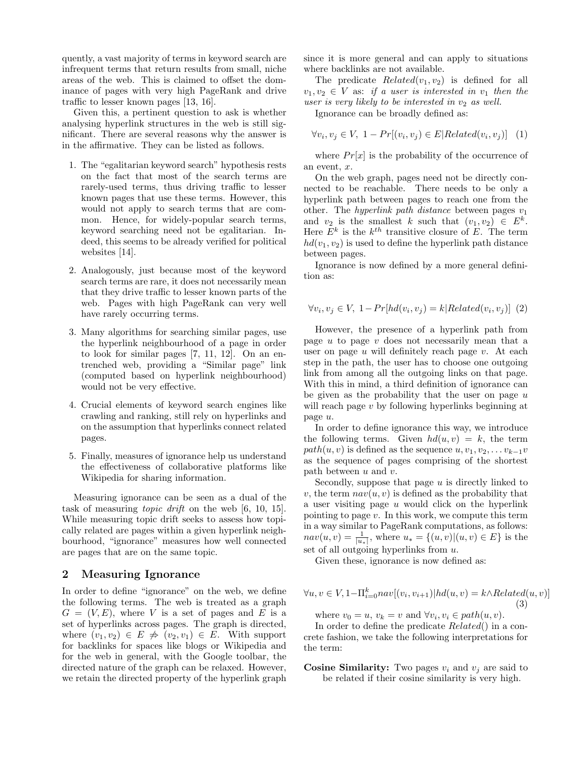quently, a vast majority of terms in keyword search are infrequent terms that return results from small, niche areas of the web. This is claimed to offset the dominance of pages with very high PageRank and drive traffic to lesser known pages [13, 16].

Given this, a pertinent question to ask is whether analysing hyperlink structures in the web is still significant. There are several reasons why the answer is in the affirmative. They can be listed as follows.

- 1. The "egalitarian keyword search" hypothesis rests on the fact that most of the search terms are rarely-used terms, thus driving traffic to lesser known pages that use these terms. However, this would not apply to search terms that are common. Hence, for widely-popular search terms, keyword searching need not be egalitarian. Indeed, this seems to be already verified for political websites [14].
- 2. Analogously, just because most of the keyword search terms are rare, it does not necessarily mean that they drive traffic to lesser known parts of the web. Pages with high PageRank can very well have rarely occurring terms.
- 3. Many algorithms for searching similar pages, use the hyperlink neighbourhood of a page in order to look for similar pages [7, 11, 12]. On an entrenched web, providing a "Similar page" link (computed based on hyperlink neighbourhood) would not be very effective.
- 4. Crucial elements of keyword search engines like crawling and ranking, still rely on hyperlinks and on the assumption that hyperlinks connect related pages.
- 5. Finally, measures of ignorance help us understand the effectiveness of collaborative platforms like Wikipedia for sharing information.

Measuring ignorance can be seen as a dual of the task of measuring topic drift on the web [6, 10, 15]. While measuring topic drift seeks to assess how topically related are pages within a given hyperlink neighbourhood, "ignorance" measures how well connected are pages that are on the same topic.

## 2 Measuring Ignorance

In order to define "ignorance" on the web, we define the following terms. The web is treated as a graph  $G = (V, E)$ , where V is a set of pages and E is a set of hyperlinks across pages. The graph is directed, where  $(v_1, v_2) \in E \neq (v_2, v_1) \in E$ . With support for backlinks for spaces like blogs or Wikipedia and for the web in general, with the Google toolbar, the directed nature of the graph can be relaxed. However, we retain the directed property of the hyperlink graph

since it is more general and can apply to situations where backlinks are not available.

The predicate  $Related(v_1, v_2)$  is defined for all  $v_1, v_2 \in V$  as: if a user is interested in  $v_1$  then the user is very likely to be interested in  $v_2$  as well.

Ignorance can be broadly defined as:

$$
\forall v_i, v_j \in V, 1 - Pr[(v_i, v_j) \in E | Related(v_i, v_j)] \quad (1)
$$

where  $Pr[x]$  is the probability of the occurrence of an event,  $x$ .

On the web graph, pages need not be directly connected to be reachable. There needs to be only a hyperlink path between pages to reach one from the other. The hyperlink path distance between pages  $v_1$ and  $v_2$  is the smallest k such that  $(v_1, v_2) \in E^k$ . Here  $E^k$  is the  $k^{th}$  transitive closure of E. The term  $hd(v_1, v_2)$  is used to define the hyperlink path distance between pages.

Ignorance is now defined by a more general definition as:

$$
\forall v_i, v_j \in V, 1 - Pr[hd(v_i, v_j) = k | Related(v_i, v_j)]
$$
 (2)

However, the presence of a hyperlink path from page u to page v does not necessarily mean that a user on page  $u$  will definitely reach page  $v$ . At each step in the path, the user has to choose one outgoing link from among all the outgoing links on that page. With this in mind, a third definition of ignorance can be given as the probability that the user on page  $u$ will reach page v by following hyperlinks beginning at page u.

In order to define ignorance this way, we introduce the following terms. Given  $hd(u, v) = k$ , the term  $path(u, v)$  is defined as the sequence  $u, v_1, v_2, \ldots v_{k-1}v$ as the sequence of pages comprising of the shortest path between  $u$  and  $v$ .

Secondly, suppose that page  $u$  is directly linked to v, the term  $nav(u, v)$  is defined as the probability that a user visiting page  $u$  would click on the hyperlink pointing to page  $v$ . In this work, we compute this term in a way similar to PageRank computations, as follows:  $nav(u, v) = \frac{1}{|u_*|}$ , where  $u_* = \{(u, v) | (u, v) \in E\}$  is the set of all outgoing hyperlinks from u.

Given these, ignorance is now defined as:

$$
\forall u, v \in V, 1-\Pi_{i=0}^{k}nav[(v_i, v_{i+1})|hd(u, v) = k \land Related(u, v)]
$$
\n(3)

where  $v_0 = u$ ,  $v_k = v$  and  $\forall v_i, v_i \in path(u, v)$ .

In order to define the predicate Related() in a concrete fashion, we take the following interpretations for the term:

**Cosine Similarity:** Two pages  $v_i$  and  $v_j$  are said to be related if their cosine similarity is very high.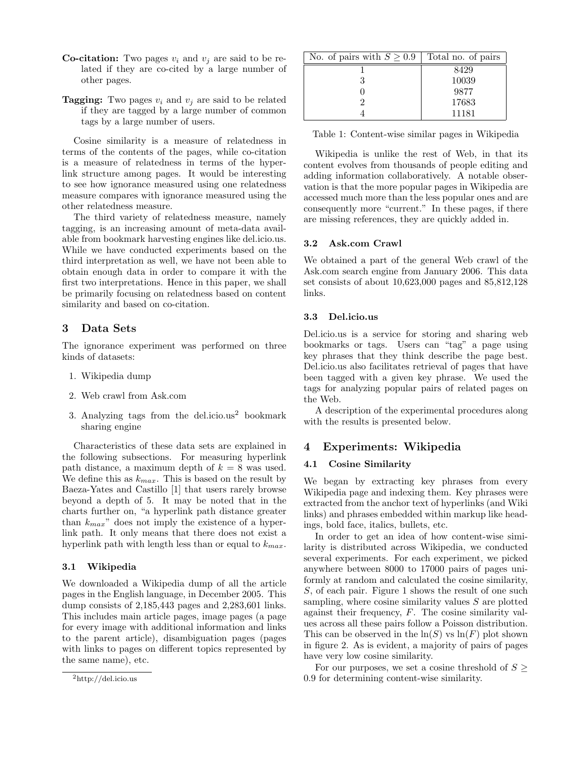- **Co-citation:** Two pages  $v_i$  and  $v_j$  are said to be related if they are co-cited by a large number of other pages.
- **Tagging:** Two pages  $v_i$  and  $v_j$  are said to be related if they are tagged by a large number of common tags by a large number of users.

Cosine similarity is a measure of relatedness in terms of the contents of the pages, while co-citation is a measure of relatedness in terms of the hyperlink structure among pages. It would be interesting to see how ignorance measured using one relatedness measure compares with ignorance measured using the other relatedness measure.

The third variety of relatedness measure, namely tagging, is an increasing amount of meta-data available from bookmark harvesting engines like del.icio.us. While we have conducted experiments based on the third interpretation as well, we have not been able to obtain enough data in order to compare it with the first two interpretations. Hence in this paper, we shall be primarily focusing on relatedness based on content similarity and based on co-citation.

## 3 Data Sets

The ignorance experiment was performed on three kinds of datasets:

- 1. Wikipedia dump
- 2. Web crawl from Ask.com
- 3. Analyzing tags from the del.icio.us $2$  bookmark sharing engine

Characteristics of these data sets are explained in the following subsections. For measuring hyperlink path distance, a maximum depth of  $k = 8$  was used. We define this as  $k_{max}$ . This is based on the result by Baeza-Yates and Castillo [1] that users rarely browse beyond a depth of 5. It may be noted that in the charts further on, "a hyperlink path distance greater than  $k_{max}$ " does not imply the existence of a hyperlink path. It only means that there does not exist a hyperlink path with length less than or equal to  $k_{max}$ .

## 3.1 Wikipedia

We downloaded a Wikipedia dump of all the article pages in the English language, in December 2005. This dump consists of 2,185,443 pages and 2,283,601 links. This includes main article pages, image pages (a page for every image with additional information and links to the parent article), disambiguation pages (pages with links to pages on different topics represented by the same name), etc.

| No. of pairs with $S \geq 0.9$ | Total no. of pairs |
|--------------------------------|--------------------|
|                                | 8429               |
|                                | 10039              |
|                                | 9877               |
|                                | 17683              |
|                                | 11181              |

Table 1: Content-wise similar pages in Wikipedia

Wikipedia is unlike the rest of Web, in that its content evolves from thousands of people editing and adding information collaboratively. A notable observation is that the more popular pages in Wikipedia are accessed much more than the less popular ones and are consequently more "current." In these pages, if there are missing references, they are quickly added in.

## 3.2 Ask.com Crawl

We obtained a part of the general Web crawl of the Ask.com search engine from January 2006. This data set consists of about 10,623,000 pages and 85,812,128 links.

## 3.3 Del.icio.us

Del.icio.us is a service for storing and sharing web bookmarks or tags. Users can "tag" a page using key phrases that they think describe the page best. Del.icio.us also facilitates retrieval of pages that have been tagged with a given key phrase. We used the tags for analyzing popular pairs of related pages on the Web.

A description of the experimental procedures along with the results is presented below.

# 4 Experiments: Wikipedia

## 4.1 Cosine Similarity

We began by extracting key phrases from every Wikipedia page and indexing them. Key phrases were extracted from the anchor text of hyperlinks (and Wiki links) and phrases embedded within markup like headings, bold face, italics, bullets, etc.

In order to get an idea of how content-wise similarity is distributed across Wikipedia, we conducted several experiments. For each experiment, we picked anywhere between 8000 to 17000 pairs of pages uniformly at random and calculated the cosine similarity, S, of each pair. Figure 1 shows the result of one such sampling, where cosine similarity values  $S$  are plotted against their frequency, F. The cosine similarity values across all these pairs follow a Poisson distribution. This can be observed in the  $\ln(S)$  vs  $\ln(F)$  plot shown in figure 2. As is evident, a majority of pairs of pages have very low cosine similarity.

For our purposes, we set a cosine threshold of  $S \geq$ 0.9 for determining content-wise similarity.

<sup>2</sup>http://del.icio.us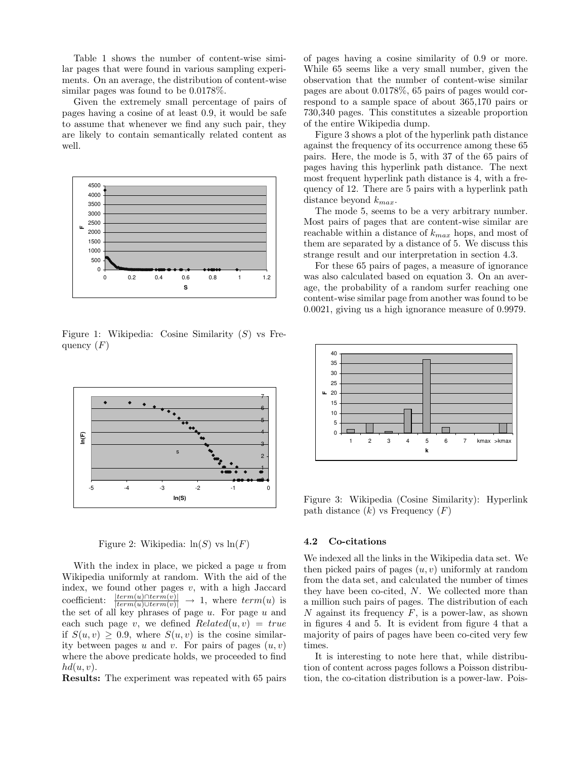Table 1 shows the number of content-wise similar pages that were found in various sampling experiments. On an average, the distribution of content-wise similar pages was found to be 0.0178%.

Given the extremely small percentage of pairs of pages having a cosine of at least 0.9, it would be safe to assume that whenever we find any such pair, they are likely to contain semantically related content as well.



Figure 1: Wikipedia: Cosine Similarity  $(S)$  vs Frequency  $(F)$ 



Figure 2: Wikipedia:  $ln(S)$  vs  $ln(F)$ 

With the index in place, we picked a page  $u$  from Wikipedia uniformly at random. With the aid of the index, we found other pages  $v$ , with a high Jaccard coefficient:  $\frac{|term(u) \cap term(v)|}{|term(u) \cup term(v)|} \rightarrow 1$ , where  $term(u)$  is the set of all key phrases of page  $u$ . For page  $u$  and each such page v, we defined  $Related(u, v) = true$ if  $S(u, v) > 0.9$ , where  $S(u, v)$  is the cosine similarity between pages u and v. For pairs of pages  $(u, v)$ where the above predicate holds, we proceeded to find  $hd(u, v)$ .

Results: The experiment was repeated with 65 pairs

of pages having a cosine similarity of 0.9 or more. While 65 seems like a very small number, given the observation that the number of content-wise similar pages are about 0.0178%, 65 pairs of pages would correspond to a sample space of about 365,170 pairs or 730,340 pages. This constitutes a sizeable proportion of the entire Wikipedia dump.

Figure 3 shows a plot of the hyperlink path distance against the frequency of its occurrence among these 65 pairs. Here, the mode is 5, with 37 of the 65 pairs of pages having this hyperlink path distance. The next most frequent hyperlink path distance is 4, with a frequency of 12. There are 5 pairs with a hyperlink path distance beyond  $k_{max}$ .

The mode 5, seems to be a very arbitrary number. Most pairs of pages that are content-wise similar are reachable within a distance of  $k_{max}$  hops, and most of them are separated by a distance of 5. We discuss this strange result and our interpretation in section 4.3.

For these 65 pairs of pages, a measure of ignorance was also calculated based on equation 3. On an average, the probability of a random surfer reaching one content-wise similar page from another was found to be 0.0021, giving us a high ignorance measure of 0.9979.



Figure 3: Wikipedia (Cosine Similarity): Hyperlink path distance  $(k)$  vs Frequency  $(F)$ 

#### 4.2 Co-citations

We indexed all the links in the Wikipedia data set. We then picked pairs of pages  $(u, v)$  uniformly at random from the data set, and calculated the number of times they have been co-cited, N. We collected more than a million such pairs of pages. The distribution of each  $N$  against its frequency  $F$ , is a power-law, as shown in figures 4 and 5. It is evident from figure 4 that a majority of pairs of pages have been co-cited very few times.

It is interesting to note here that, while distribution of content across pages follows a Poisson distribution, the co-citation distribution is a power-law. Pois-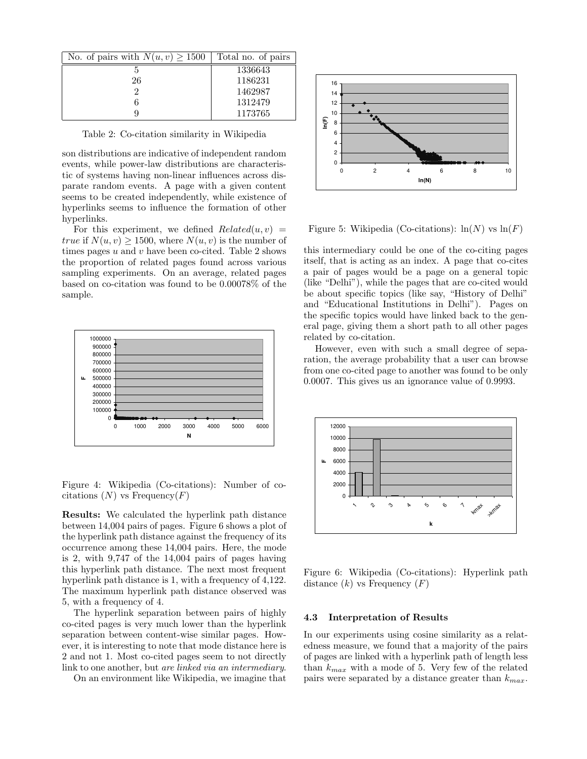| No. of pairs with $N(u, v) \ge 1500$ | Total no. of pairs |
|--------------------------------------|--------------------|
|                                      | 1336643            |
| 26                                   | 1186231            |
|                                      | 1462987            |
|                                      | 1312479            |
|                                      | 1173765            |

Table 2: Co-citation similarity in Wikipedia

son distributions are indicative of independent random events, while power-law distributions are characteristic of systems having non-linear influences across disparate random events. A page with a given content seems to be created independently, while existence of hyperlinks seems to influence the formation of other hyperlinks.

For this experiment, we defined  $Related(u, v) =$ true if  $N(u, v) > 1500$ , where  $N(u, v)$  is the number of times pages  $u$  and  $v$  have been co-cited. Table 2 shows the proportion of related pages found across various sampling experiments. On an average, related pages based on co-citation was found to be 0.00078% of the sample.



Figure 4: Wikipedia (Co-citations): Number of cocitations  $(N)$  vs Frequency $(F)$ 

Results: We calculated the hyperlink path distance between 14,004 pairs of pages. Figure 6 shows a plot of the hyperlink path distance against the frequency of its occurrence among these 14,004 pairs. Here, the mode is 2, with 9,747 of the 14,004 pairs of pages having this hyperlink path distance. The next most frequent hyperlink path distance is 1, with a frequency of 4,122. The maximum hyperlink path distance observed was 5, with a frequency of 4.

The hyperlink separation between pairs of highly co-cited pages is very much lower than the hyperlink separation between content-wise similar pages. However, it is interesting to note that mode distance here is 2 and not 1. Most co-cited pages seem to not directly link to one another, but *are linked via an intermediary*.

On an environment like Wikipedia, we imagine that



Figure 5: Wikipedia (Co-citations):  $\ln(N)$  vs  $\ln(F)$ 

this intermediary could be one of the co-citing pages itself, that is acting as an index. A page that co-cites a pair of pages would be a page on a general topic (like "Delhi"), while the pages that are co-cited would be about specific topics (like say, "History of Delhi" and "Educational Institutions in Delhi"). Pages on the specific topics would have linked back to the general page, giving them a short path to all other pages related by co-citation.

However, even with such a small degree of separation, the average probability that a user can browse from one co-cited page to another was found to be only 0.0007. This gives us an ignorance value of 0.9993.



Figure 6: Wikipedia (Co-citations): Hyperlink path distance  $(k)$  vs Frequency  $(F)$ 

#### 4.3 Interpretation of Results

In our experiments using cosine similarity as a relatedness measure, we found that a majority of the pairs of pages are linked with a hyperlink path of length less than  $k_{max}$  with a mode of 5. Very few of the related pairs were separated by a distance greater than  $k_{max}$ .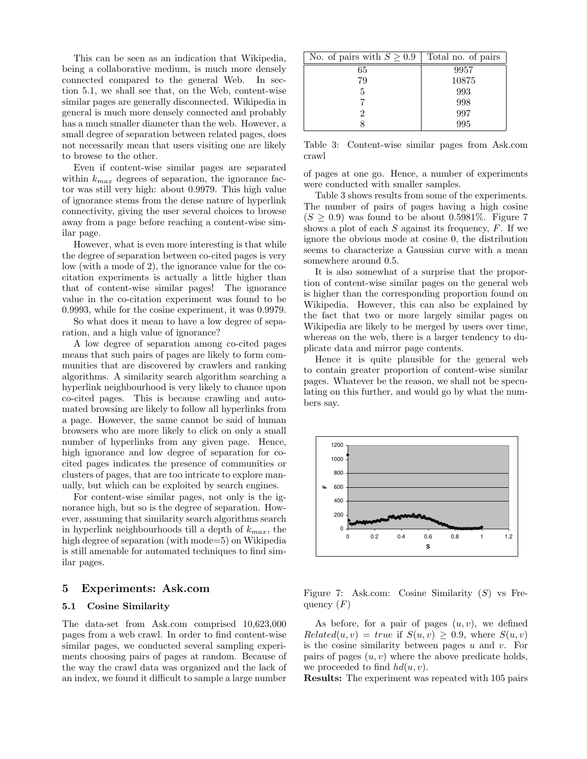This can be seen as an indication that Wikipedia, being a collaborative medium, is much more densely connected compared to the general Web. In section 5.1, we shall see that, on the Web, content-wise similar pages are generally disconnected. Wikipedia in general is much more densely connected and probably has a much smaller diameter than the web. However, a small degree of separation between related pages, does not necessarily mean that users visiting one are likely to browse to the other.

Even if content-wise similar pages are separated within  $k_{max}$  degrees of separation, the ignorance factor was still very high: about 0.9979. This high value of ignorance stems from the dense nature of hyperlink connectivity, giving the user several choices to browse away from a page before reaching a content-wise similar page.

However, what is even more interesting is that while the degree of separation between co-cited pages is very low (with a mode of 2), the ignorance value for the cocitation experiments is actually a little higher than that of content-wise similar pages! The ignorance value in the co-citation experiment was found to be 0.9993, while for the cosine experiment, it was 0.9979.

So what does it mean to have a low degree of separation, and a high value of ignorance?

A low degree of separation among co-cited pages means that such pairs of pages are likely to form communities that are discovered by crawlers and ranking algorithms. A similarity search algorithm searching a hyperlink neighbourhood is very likely to chance upon co-cited pages. This is because crawling and automated browsing are likely to follow all hyperlinks from a page. However, the same cannot be said of human browsers who are more likely to click on only a small number of hyperlinks from any given page. Hence, high ignorance and low degree of separation for cocited pages indicates the presence of communities or clusters of pages, that are too intricate to explore manually, but which can be exploited by search engines.

For content-wise similar pages, not only is the ignorance high, but so is the degree of separation. However, assuming that similarity search algorithms search in hyperlink neighbourhoods till a depth of  $k_{max}$ , the high degree of separation (with mode=5) on Wikipedia is still amenable for automated techniques to find similar pages.

### 5 Experiments: Ask.com

### 5.1 Cosine Similarity

The data-set from Ask.com comprised 10,623,000 pages from a web crawl. In order to find content-wise similar pages, we conducted several sampling experiments choosing pairs of pages at random. Because of the way the crawl data was organized and the lack of an index, we found it difficult to sample a large number

| No. of pairs with $S \geq 0.9$ | Total no. of pairs |
|--------------------------------|--------------------|
| 65                             | 9957               |
| 79                             | 10875              |
| 5                              | 993                |
|                                | 998                |
| 2                              | 997                |
|                                | 995                |

Table 3: Content-wise similar pages from Ask.com crawl

of pages at one go. Hence, a number of experiments were conducted with smaller samples.

Table 3 shows results from some of the experiments. The number of pairs of pages having a high cosine  $(S > 0.9)$  was found to be about 0.5981\%. Figure 7 shows a plot of each  $S$  against its frequency,  $F$ . If we ignore the obvious mode at cosine 0, the distribution seems to characterize a Gaussian curve with a mean somewhere around 0.5.

It is also somewhat of a surprise that the proportion of content-wise similar pages on the general web is higher than the corresponding proportion found on Wikipedia. However, this can also be explained by the fact that two or more largely similar pages on Wikipedia are likely to be merged by users over time, whereas on the web, there is a larger tendency to duplicate data and mirror page contents.

Hence it is quite plausible for the general web to contain greater proportion of content-wise similar pages. Whatever be the reason, we shall not be speculating on this further, and would go by what the numbers say.



Figure 7: Ask.com: Cosine Similarity  $(S)$  vs Frequency  $(F)$ 

As before, for a pair of pages  $(u, v)$ , we defined  $Related(u, v) = true$  if  $S(u, v) > 0.9$ , where  $S(u, v)$ is the cosine similarity between pages  $u$  and  $v$ . For pairs of pages  $(u, v)$  where the above predicate holds, we proceeded to find  $hd(u, v)$ .

Results: The experiment was repeated with 105 pairs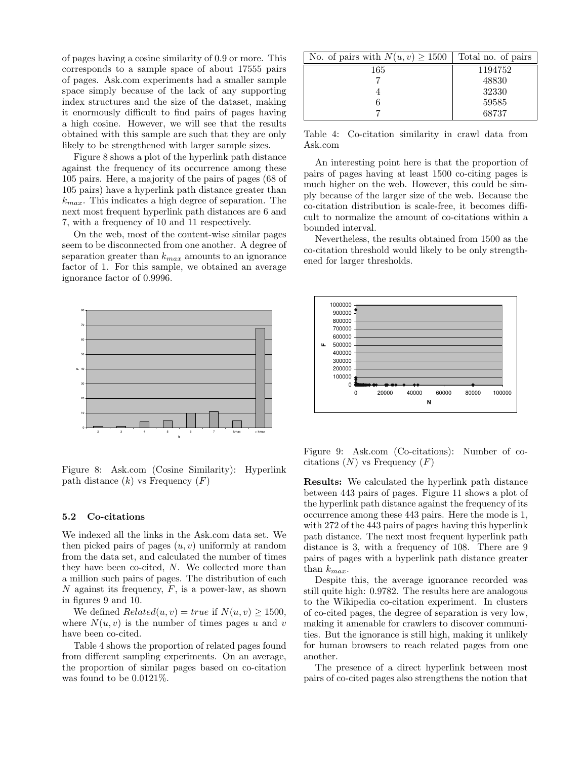of pages having a cosine similarity of 0.9 or more. This corresponds to a sample space of about 17555 pairs of pages. Ask.com experiments had a smaller sample space simply because of the lack of any supporting index structures and the size of the dataset, making it enormously difficult to find pairs of pages having a high cosine. However, we will see that the results obtained with this sample are such that they are only likely to be strengthened with larger sample sizes.

Figure 8 shows a plot of the hyperlink path distance against the frequency of its occurrence among these 105 pairs. Here, a majority of the pairs of pages (68 of 105 pairs) have a hyperlink path distance greater than  $k_{max}$ . This indicates a high degree of separation. The next most frequent hyperlink path distances are 6 and 7, with a frequency of 10 and 11 respectively.

On the web, most of the content-wise similar pages seem to be disconnected from one another. A degree of separation greater than  $k_{max}$  amounts to an ignorance factor of 1. For this sample, we obtained an average ignorance factor of 0.9996.



Figure 8: Ask.com (Cosine Similarity): Hyperlink path distance  $(k)$  vs Frequency  $(F)$ 

#### 5.2 Co-citations

We indexed all the links in the Ask.com data set. We then picked pairs of pages  $(u, v)$  uniformly at random from the data set, and calculated the number of times they have been co-cited, N. We collected more than a million such pairs of pages. The distribution of each  $N$  against its frequency,  $F$ , is a power-law, as shown in figures 9 and 10.

We defined  $Related(u, v) = true$  if  $N(u, v) \ge 1500$ , where  $N(u, v)$  is the number of times pages u and v have been co-cited.

Table 4 shows the proportion of related pages found from different sampling experiments. On an average, the proportion of similar pages based on co-citation was found to be 0.0121%.

| No. of pairs with $N(u, v) \ge 1500$ | Total no. of pairs |
|--------------------------------------|--------------------|
| 165                                  | 1194752            |
|                                      | 48830              |
|                                      | 32330              |
|                                      | 59585              |
|                                      | 68737              |

Table 4: Co-citation similarity in crawl data from Ask.com

An interesting point here is that the proportion of pairs of pages having at least 1500 co-citing pages is much higher on the web. However, this could be simply because of the larger size of the web. Because the co-citation distribution is scale-free, it becomes difficult to normalize the amount of co-citations within a bounded interval.

Nevertheless, the results obtained from 1500 as the co-citation threshold would likely to be only strengthened for larger thresholds.



Figure 9: Ask.com (Co-citations): Number of cocitations  $(N)$  vs Frequency  $(F)$ 

Results: We calculated the hyperlink path distance between 443 pairs of pages. Figure 11 shows a plot of the hyperlink path distance against the frequency of its occurrence among these 443 pairs. Here the mode is 1, with 272 of the 443 pairs of pages having this hyperlink path distance. The next most frequent hyperlink path distance is 3, with a frequency of 108. There are 9 pairs of pages with a hyperlink path distance greater than  $k_{max}$ .

Despite this, the average ignorance recorded was still quite high: 0.9782. The results here are analogous to the Wikipedia co-citation experiment. In clusters of co-cited pages, the degree of separation is very low, making it amenable for crawlers to discover communities. But the ignorance is still high, making it unlikely for human browsers to reach related pages from one another.

The presence of a direct hyperlink between most pairs of co-cited pages also strengthens the notion that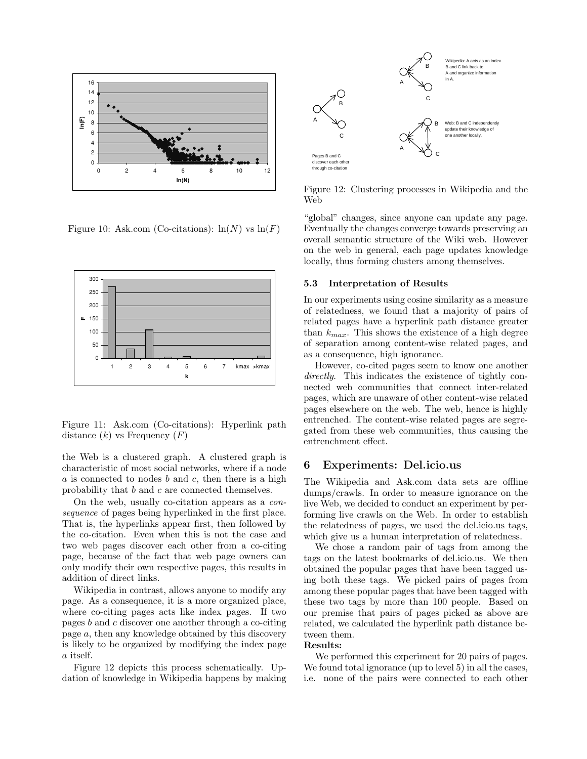

Figure 10: Ask.com (Co-citations):  $\ln(N)$  vs  $\ln(F)$ 



Figure 11: Ask.com (Co-citations): Hyperlink path distance  $(k)$  vs Frequency  $(F)$ 

the Web is a clustered graph. A clustered graph is characteristic of most social networks, where if a node  $a$  is connected to nodes  $b$  and  $c$ , then there is a high probability that b and c are connected themselves.

On the web, usually co-citation appears as a consequence of pages being hyperlinked in the first place. That is, the hyperlinks appear first, then followed by the co-citation. Even when this is not the case and two web pages discover each other from a co-citing page, because of the fact that web page owners can only modify their own respective pages, this results in addition of direct links.

Wikipedia in contrast, allows anyone to modify any page. As a consequence, it is a more organized place, where co-citing pages acts like index pages. If two pages b and c discover one another through a co-citing page a, then any knowledge obtained by this discovery is likely to be organized by modifying the index page a itself.

Figure 12 depicts this process schematically. Updation of knowledge in Wikipedia happens by making



Figure 12: Clustering processes in Wikipedia and the Web

"global" changes, since anyone can update any page. Eventually the changes converge towards preserving an overall semantic structure of the Wiki web. However on the web in general, each page updates knowledge locally, thus forming clusters among themselves.

#### 5.3 Interpretation of Results

In our experiments using cosine similarity as a measure of relatedness, we found that a majority of pairs of related pages have a hyperlink path distance greater than  $k_{max}$ . This shows the existence of a high degree of separation among content-wise related pages, and as a consequence, high ignorance.

However, co-cited pages seem to know one another directly. This indicates the existence of tightly connected web communities that connect inter-related pages, which are unaware of other content-wise related pages elsewhere on the web. The web, hence is highly entrenched. The content-wise related pages are segregated from these web communities, thus causing the entrenchment effect.

## 6 Experiments: Del.icio.us

The Wikipedia and Ask.com data sets are offline dumps/crawls. In order to measure ignorance on the live Web, we decided to conduct an experiment by performing live crawls on the Web. In order to establish the relatedness of pages, we used the del.icio.us tags, which give us a human interpretation of relatedness.

We chose a random pair of tags from among the tags on the latest bookmarks of del.icio.us. We then obtained the popular pages that have been tagged using both these tags. We picked pairs of pages from among these popular pages that have been tagged with these two tags by more than 100 people. Based on our premise that pairs of pages picked as above are related, we calculated the hyperlink path distance between them.

#### Results:

We performed this experiment for 20 pairs of pages. We found total ignorance (up to level 5) in all the cases, i.e. none of the pairs were connected to each other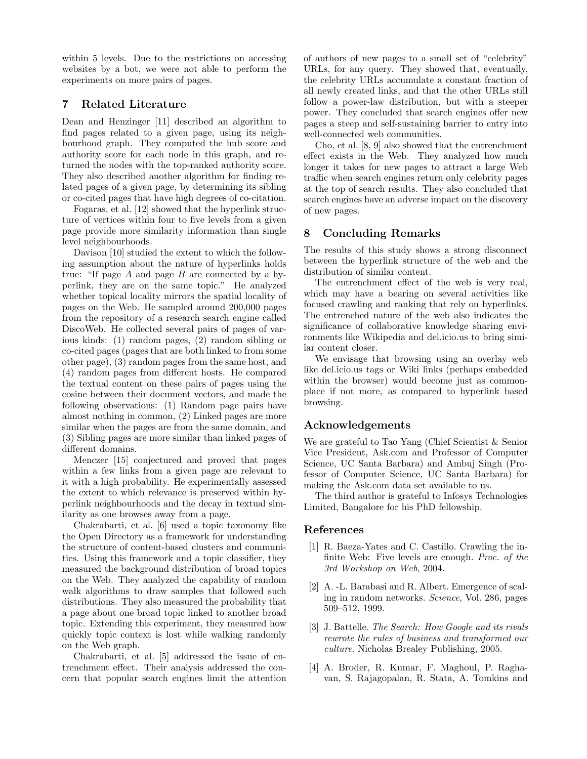within 5 levels. Due to the restrictions on accessing websites by a bot, we were not able to perform the experiments on more pairs of pages.

# 7 Related Literature

Dean and Henzinger [11] described an algorithm to find pages related to a given page, using its neighbourhood graph. They computed the hub score and authority score for each node in this graph, and returned the nodes with the top-ranked authority score. They also described another algorithm for finding related pages of a given page, by determining its sibling or co-cited pages that have high degrees of co-citation.

Fogaras, et al. [12] showed that the hyperlink structure of vertices within four to five levels from a given page provide more similarity information than single level neighbourhoods.

Davison [10] studied the extent to which the following assumption about the nature of hyperlinks holds true: "If page  $A$  and page  $B$  are connected by a hyperlink, they are on the same topic." He analyzed whether topical locality mirrors the spatial locality of pages on the Web. He sampled around 200,000 pages from the repository of a research search engine called DiscoWeb. He collected several pairs of pages of various kinds: (1) random pages, (2) random sibling or co-cited pages (pages that are both linked to from some other page), (3) random pages from the same host, and (4) random pages from different hosts. He compared the textual content on these pairs of pages using the cosine between their document vectors, and made the following observations: (1) Random page pairs have almost nothing in common, (2) Linked pages are more similar when the pages are from the same domain, and (3) Sibling pages are more similar than linked pages of different domains.

Menczer [15] conjectured and proved that pages within a few links from a given page are relevant to it with a high probability. He experimentally assessed the extent to which relevance is preserved within hyperlink neighbourhoods and the decay in textual similarity as one browses away from a page.

Chakrabarti, et al. [6] used a topic taxonomy like the Open Directory as a framework for understanding the structure of content-based clusters and communities. Using this framework and a topic classifier, they measured the background distribution of broad topics on the Web. They analyzed the capability of random walk algorithms to draw samples that followed such distributions. They also measured the probability that a page about one broad topic linked to another broad topic. Extending this experiment, they measured how quickly topic context is lost while walking randomly on the Web graph.

Chakrabarti, et al. [5] addressed the issue of entrenchment effect. Their analysis addressed the concern that popular search engines limit the attention of authors of new pages to a small set of "celebrity" URLs, for any query. They showed that, eventually, the celebrity URLs accumulate a constant fraction of all newly created links, and that the other URLs still follow a power-law distribution, but with a steeper power. They concluded that search engines offer new pages a steep and self-sustaining barrier to entry into well-connected web communities.

Cho, et al. [8, 9] also showed that the entrenchment effect exists in the Web. They analyzed how much longer it takes for new pages to attract a large Web traffic when search engines return only celebrity pages at the top of search results. They also concluded that search engines have an adverse impact on the discovery of new pages.

# 8 Concluding Remarks

The results of this study shows a strong disconnect between the hyperlink structure of the web and the distribution of similar content.

The entrenchment effect of the web is very real, which may have a bearing on several activities like focused crawling and ranking that rely on hyperlinks. The entrenched nature of the web also indicates the significance of collaborative knowledge sharing environments like Wikipedia and del.icio.us to bring similar content closer.

We envisage that browsing using an overlay web like del.icio.us tags or Wiki links (perhaps embedded within the browser) would become just as commonplace if not more, as compared to hyperlink based browsing.

# Acknowledgements

We are grateful to Tao Yang (Chief Scientist & Senior Vice President, Ask.com and Professor of Computer Science, UC Santa Barbara) and Ambuj Singh (Professor of Computer Science, UC Santa Barbara) for making the Ask.com data set available to us.

The third author is grateful to Infosys Technologies Limited, Bangalore for his PhD fellowship.

## References

- [1] R. Baeza-Yates and C. Castillo. Crawling the infinite Web: Five levels are enough. Proc. of the 3rd Workshop on Web, 2004.
- [2] A. -L. Barabasi and R. Albert. Emergence of scaling in random networks. Science, Vol. 286, pages 509–512, 1999.
- [3] J. Battelle. The Search: How Google and its rivals rewrote the rules of business and transformed our culture. Nicholas Brealey Publishing, 2005.
- [4] A. Broder, R. Kumar, F. Maghoul, P. Raghavan, S. Rajagopalan, R. Stata, A. Tomkins and